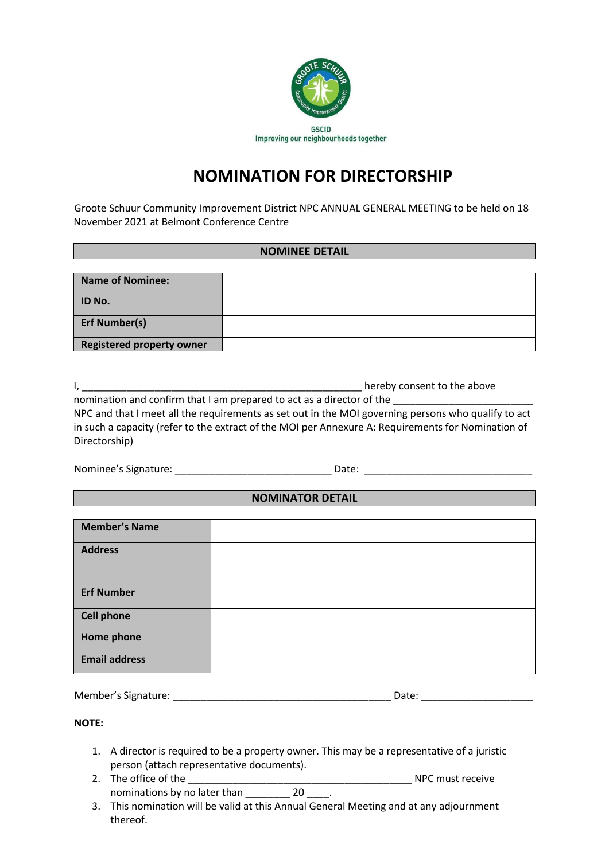

# **NOMINATION FOR DIRECTORSHIP**

Groote Schuur Community Improvement District NPC ANNUAL GENERAL MEETING to be held on 18 November 2021 at Belmont Conference Centre

## **NOMINEE DETAIL**

| <b>Name of Nominee:</b>          |  |
|----------------------------------|--|
| <b>ID No.</b>                    |  |
| <b>Erf Number(s)</b>             |  |
| <b>Registered property owner</b> |  |

I, **EXECUTE:**  $\frac{1}{2}$  are  $\frac{1}{2}$  hereby consent to the above nomination and confirm that I am prepared to act as a director of the

NPC and that I meet all the requirements as set out in the MOI governing persons who qualify to act in such a capacity (refer to the extract of the MOI per Annexure A: Requirements for Nomination of Directorship)

Nominee's Signature: \_\_\_\_\_\_\_\_\_\_\_\_\_\_\_\_\_\_\_\_\_\_\_\_\_\_\_\_ Date: \_\_\_\_\_\_\_\_\_\_\_\_\_\_\_\_\_\_\_\_\_\_\_\_\_\_\_\_\_\_

## **NOMINATOR DETAIL**

| <b>Member's Name</b> |  |
|----------------------|--|
| <b>Address</b>       |  |
|                      |  |
|                      |  |
| <b>Erf Number</b>    |  |
|                      |  |
| <b>Cell phone</b>    |  |
|                      |  |
| <b>Home phone</b>    |  |
| <b>Email address</b> |  |
|                      |  |

| Member's Signature: | Date: |  |
|---------------------|-------|--|
|                     |       |  |

## **NOTE:**

- 1. A director is required to be a property owner. This may be a representative of a juristic person (attach representative documents).
- 2. The office of the \_\_\_\_\_\_\_\_\_\_\_\_\_\_\_\_\_\_\_\_\_\_\_\_\_\_\_\_\_\_\_\_\_\_\_\_\_\_\_\_ NPC must receive nominations by no later than 20  $\blacksquare$ .
- 3. This nomination will be valid at this Annual General Meeting and at any adjournment thereof.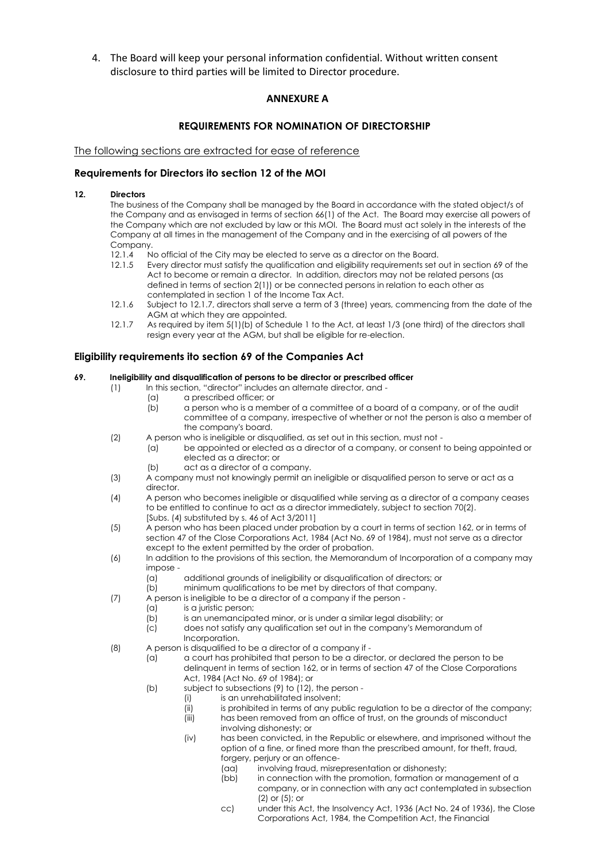4. The Board will keep your personal information confidential. Without written consent disclosure to third parties will be limited to Director procedure.

## **ANNEXURE A**

#### **REQUIREMENTS FOR NOMINATION OF DIRECTORSHIP**

#### The following sections are extracted for ease of reference

#### **Requirements for Directors ito section 12 of the MOI**

#### **12. Directors**

The business of the Company shall be managed by the Board in accordance with the stated object/s of the Company and as envisaged in terms of section 66(1) of the Act. The Board may exercise all powers of the Company which are not excluded by law or this MOI. The Board must act solely in the interests of the Company at all times in the management of the Company and in the exercising of all powers of the Company.

- 12.1.4 No official of the City may be elected to serve as a director on the Board.<br>12.1.5 Every director must satisfy the aualification and eliaibility reaujrements set
- Every director must satisfy the qualification and eligibility requirements set out in section 69 of the Act to become or remain a director. In addition, directors may not be related persons (as defined in terms of section 2(1)) or be connected persons in relation to each other as contemplated in section 1 of the Income Tax Act.
- 12.1.6 Subject to 12.1.7, directors shall serve a term of 3 (three) years, commencing from the date of the AGM at which they are appointed.
- 12.1.7 As required by item 5(1)(b) of Schedule 1 to the Act, at least 1/3 (one third) of the directors shall resign every year at the AGM, but shall be eligible for re-election.

#### **Eligibility requirements ito section 69 of the Companies Act**

#### **69. Ineligibility and disqualification of persons to be director or prescribed officer**

- (1) In this section, "director" includes an alternate director, and
	- (a) a prescribed officer; or
	- (b) a person who is a member of a committee of a board of a company, or of the audit committee of a company, irrespective of whether or not the person is also a member of the company's board.
- (2) A person who is ineligible or disqualified, as set out in this section, must not
	- (a) be appointed or elected as a director of a company, or consent to being appointed or elected as a director; or
	- (b) act as a director of a company.
- (3) A company must not knowingly permit an ineligible or disqualified person to serve or act as a director.
- (4) A person who becomes ineligible or disqualified while serving as a director of a company ceases to be entitled to continue to act as a director immediately, subject to section 70(2). [Subs. (4) substituted by s. 46 of Act 3/2011]
- (5) A person who has been placed under probation by a court in terms of section 162, or in terms of section 47 of the Close Corporations Act, 1984 (Act No. 69 of 1984), must not serve as a director except to the extent permitted by the order of probation.
- (6) In addition to the provisions of this section, the Memorandum of Incorporation of a company may impose -
	- (a) additional grounds of ineligibility or disqualification of directors; or
	- (b) minimum qualifications to be met by directors of that company.
- (7) A person is ineligible to be a director of a company if the person
	- (a) is a juristic person;
	- (b) is an unemancipated minor, or is under a similar legal disability; or
	- (c) does not satisfy any qualification set out in the company's Memorandum of Incorporation.
- (8) A person is disqualified to be a director of a company if
	- (a) a court has prohibited that person to be a director, or declared the person to be delinquent in terms of section 162, or in terms of section 47 of the Close Corporations Act, 1984 (Act No. 69 of 1984); or
	- (b) subject to subsections (9) to (12), the person
		- (i) is an unrehabilitated insolvent;
		- $(iii)$  is prohibited in terms of any public regulation to be a director of the company;
		- (iii) has been removed from an office of trust, on the grounds of misconduct involving dishonesty; or
		- (iv) has been convicted, in the Republic or elsewhere, and imprisoned without the option of a fine, or fined more than the prescribed amount, for theft, fraud, forgery, perjury or an offence-
			- (aa) involving fraud, misrepresentation or dishonesty;
			- (bb) in connection with the promotion, formation or management of a company, or in connection with any act contemplated in subsection (2) or (5); or
			- cc) under this Act, the Insolvency Act, 1936 (Act No. 24 of 1936), the Close Corporations Act, 1984, the Competition Act, the Financial